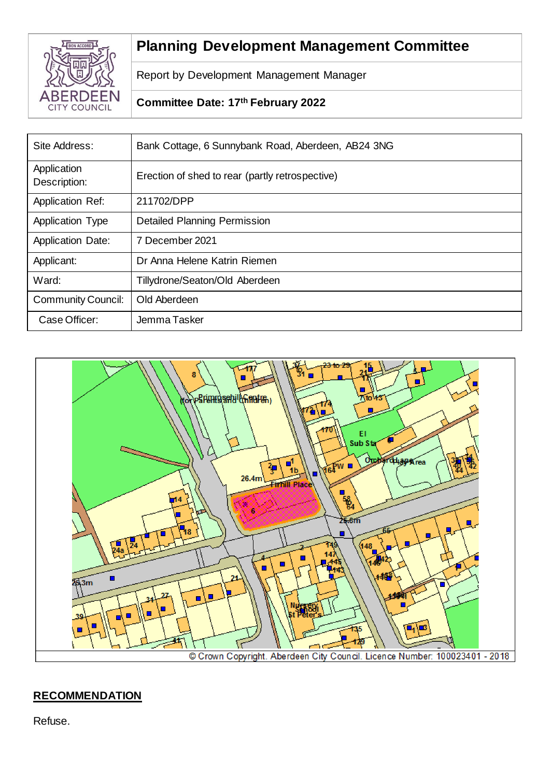

# **Planning Development Management Committee**

Report by Development Management Manager

# **Committee Date: 17th February 2022**

| Site Address:               | Bank Cottage, 6 Sunnybank Road, Aberdeen, AB24 3NG |
|-----------------------------|----------------------------------------------------|
| Application<br>Description: | Erection of shed to rear (partly retrospective)    |
| <b>Application Ref:</b>     | 211702/DPP                                         |
| <b>Application Type</b>     | <b>Detailed Planning Permission</b>                |
| <b>Application Date:</b>    | 7 December 2021                                    |
| Applicant:                  | Dr Anna Helene Katrin Riemen                       |
| Ward:                       | Tillydrone/Seaton/Old Aberdeen                     |
| Community Council:          | Old Aberdeen                                       |
| Case Officer:               | Jemma Tasker                                       |



# **RECOMMENDATION**

Refuse.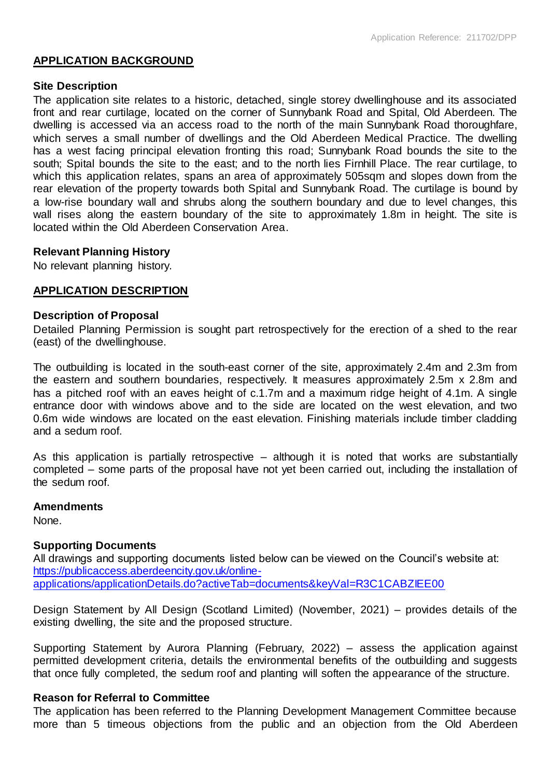# **APPLICATION BACKGROUND**

#### **Site Description**

The application site relates to a historic, detached, single storey dwellinghouse and its associated front and rear curtilage, located on the corner of Sunnybank Road and Spital, Old Aberdeen. The dwelling is accessed via an access road to the north of the main Sunnybank Road thoroughfare, which serves a small number of dwellings and the Old Aberdeen Medical Practice. The dwelling has a west facing principal elevation fronting this road; Sunnybank Road bounds the site to the south; Spital bounds the site to the east; and to the north lies Firnhill Place. The rear curtilage, to which this application relates, spans an area of approximately 505sqm and slopes down from the rear elevation of the property towards both Spital and Sunnybank Road. The curtilage is bound by a low-rise boundary wall and shrubs along the southern boundary and due to level changes, this wall rises along the eastern boundary of the site to approximately 1.8m in height. The site is located within the Old Aberdeen Conservation Area.

# **Relevant Planning History**

No relevant planning history.

#### **APPLICATION DESCRIPTION**

#### **Description of Proposal**

Detailed Planning Permission is sought part retrospectively for the erection of a shed to the rear (east) of the dwellinghouse.

The outbuilding is located in the south-east corner of the site, approximately 2.4m and 2.3m from the eastern and southern boundaries, respectively. It measures approximately 2.5m x 2.8m and has a pitched roof with an eaves height of c.1.7m and a maximum ridge height of 4.1m. A single entrance door with windows above and to the side are located on the west elevation, and two 0.6m wide windows are located on the east elevation. Finishing materials include timber cladding and a sedum roof.

As this application is partially retrospective – although it is noted that works are substantially completed – some parts of the proposal have not yet been carried out, including the installation of the sedum roof.

#### **Amendments**

None.

# **Supporting Documents**

All drawings and supporting documents listed below can be viewed on the Council's website at: [https://publicaccess.aberdeencity.gov.uk/online](https://publicaccess.aberdeencity.gov.uk/online-applications/applicationDetails.do?activeTab=documents&keyVal=R3C1CABZIEE00)[applications/applicationDetails.do?activeTab=documents&keyVal=R3C1CABZIEE00](https://publicaccess.aberdeencity.gov.uk/online-applications/applicationDetails.do?activeTab=documents&keyVal=R3C1CABZIEE00)

Design Statement by All Design (Scotland Limited) (November, 2021) – provides details of the existing dwelling, the site and the proposed structure.

Supporting Statement by Aurora Planning (February, 2022) – assess the application against permitted development criteria, details the environmental benefits of the outbuilding and suggests that once fully completed, the sedum roof and planting will soften the appearance of the structure.

# **Reason for Referral to Committee**

The application has been referred to the Planning Development Management Committee because more than 5 timeous objections from the public and an objection from the Old Aberdeen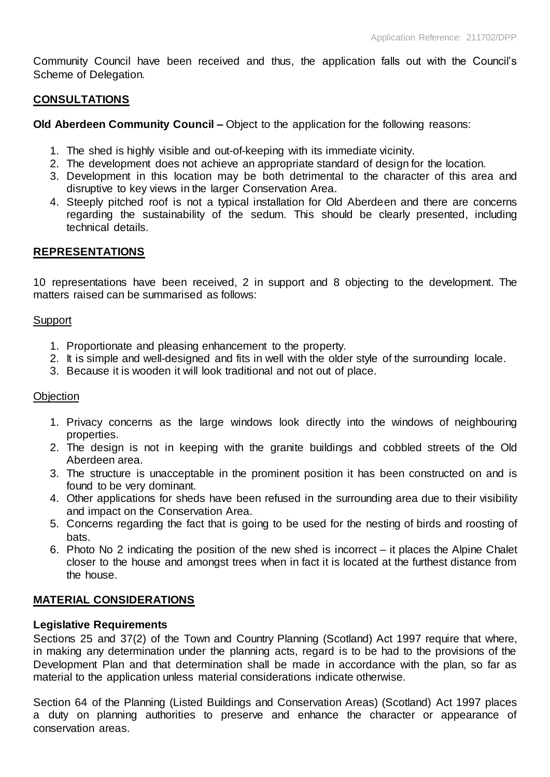Community Council have been received and thus, the application falls out with the Council's Scheme of Delegation.

# **CONSULTATIONS**

**Old Aberdeen Community Council –** Object to the application for the following reasons:

- 1. The shed is highly visible and out-of-keeping with its immediate vicinity.
- 2. The development does not achieve an appropriate standard of design for the location.
- 3. Development in this location may be both detrimental to the character of this area and disruptive to key views in the larger Conservation Area.
- 4. Steeply pitched roof is not a typical installation for Old Aberdeen and there are concerns regarding the sustainability of the sedum. This should be clearly presented, including technical details.

# **REPRESENTATIONS**

10 representations have been received, 2 in support and 8 objecting to the development. The matters raised can be summarised as follows:

#### **Support**

- 1. Proportionate and pleasing enhancement to the property.
- 2. It is simple and well-designed and fits in well with the older style of the surrounding locale.
- 3. Because it is wooden it will look traditional and not out of place.

#### **Objection**

- 1. Privacy concerns as the large windows look directly into the windows of neighbouring properties.
- 2. The design is not in keeping with the granite buildings and cobbled streets of the Old Aberdeen area.
- 3. The structure is unacceptable in the prominent position it has been constructed on and is found to be very dominant.
- 4. Other applications for sheds have been refused in the surrounding area due to their visibility and impact on the Conservation Area.
- 5. Concerns regarding the fact that is going to be used for the nesting of birds and roosting of bats.
- 6. Photo No 2 indicating the position of the new shed is incorrect it places the Alpine Chalet closer to the house and amongst trees when in fact it is located at the furthest distance from the house.

# **MATERIAL CONSIDERATIONS**

#### **Legislative Requirements**

Sections 25 and 37(2) of the Town and Country Planning (Scotland) Act 1997 require that where, in making any determination under the planning acts, regard is to be had to the provisions of the Development Plan and that determination shall be made in accordance with the plan, so far as material to the application unless material considerations indicate otherwise.

Section 64 of the Planning (Listed Buildings and Conservation Areas) (Scotland) Act 1997 places a duty on planning authorities to preserve and enhance the character or appearance of conservation areas.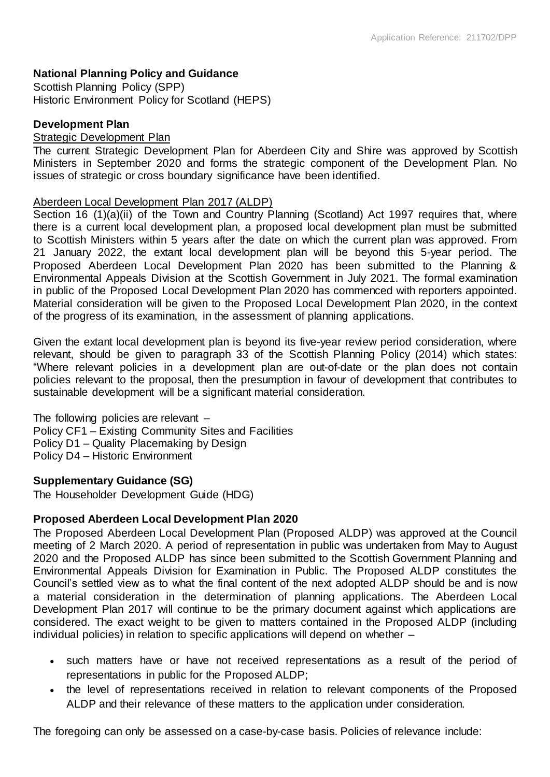# **National Planning Policy and Guidance**

Scottish Planning Policy (SPP) Historic Environment Policy for Scotland (HEPS)

## **Development Plan**

#### Strategic Development Plan

The current Strategic Development Plan for Aberdeen City and Shire was approved by Scottish Ministers in September 2020 and forms the strategic component of the Development Plan. No issues of strategic or cross boundary significance have been identified.

### Aberdeen Local Development Plan 2017 (ALDP)

Section 16 (1)(a)(ii) of the Town and Country Planning (Scotland) Act 1997 requires that, where there is a current local development plan, a proposed local development plan must be submitted to Scottish Ministers within 5 years after the date on which the current plan was approved. From 21 January 2022, the extant local development plan will be beyond this 5-year period. The Proposed Aberdeen Local Development Plan 2020 has been submitted to the Planning & Environmental Appeals Division at the Scottish Government in July 2021. The formal examination in public of the Proposed Local Development Plan 2020 has commenced with reporters appointed. Material consideration will be given to the Proposed Local Development Plan 2020, in the context of the progress of its examination, in the assessment of planning applications.

Given the extant local development plan is beyond its five-year review period consideration, where relevant, should be given to paragraph 33 of the Scottish Planning Policy (2014) which states: "Where relevant policies in a development plan are out-of-date or the plan does not contain policies relevant to the proposal, then the presumption in favour of development that contributes to sustainable development will be a significant material consideration.

The following policies are relevant – Policy CF1 – Existing Community Sites and Facilities Policy D1 – Quality Placemaking by Design Policy D4 – Historic Environment

#### **Supplementary Guidance (SG)**

The Householder Development Guide (HDG)

# **Proposed Aberdeen Local Development Plan 2020**

The Proposed Aberdeen Local Development Plan (Proposed ALDP) was approved at the Council meeting of 2 March 2020. A period of representation in public was undertaken from May to August 2020 and the Proposed ALDP has since been submitted to the Scottish Government Planning and Environmental Appeals Division for Examination in Public. The Proposed ALDP constitutes the Council's settled view as to what the final content of the next adopted ALDP should be and is now a material consideration in the determination of planning applications. The Aberdeen Local Development Plan 2017 will continue to be the primary document against which applications are considered. The exact weight to be given to matters contained in the Proposed ALDP (including individual policies) in relation to specific applications will depend on whether –

- such matters have or have not received representations as a result of the period of representations in public for the Proposed ALDP;
- the level of representations received in relation to relevant components of the Proposed ALDP and their relevance of these matters to the application under consideration.

The foregoing can only be assessed on a case-by-case basis. Policies of relevance include: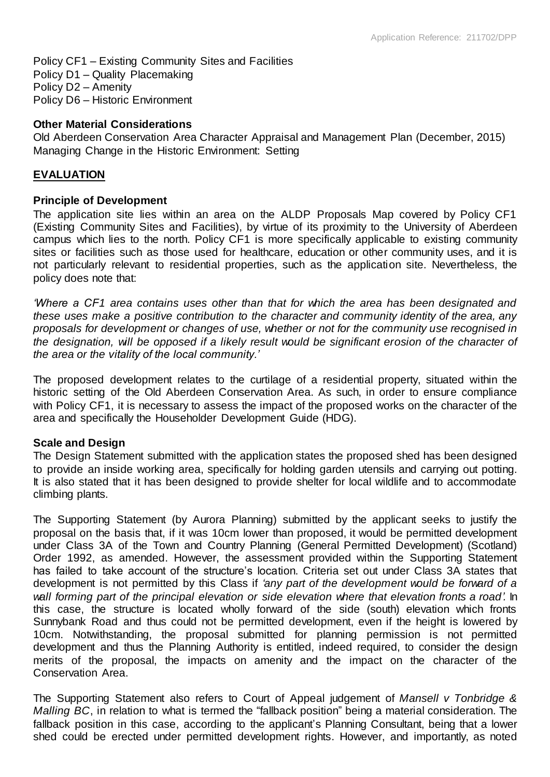Policy CF1 – Existing Community Sites and Facilities Policy D1 – Quality Placemaking Policy D2 – Amenity Policy D6 – Historic Environment

#### **Other Material Considerations**

Old Aberdeen Conservation Area Character Appraisal and Management Plan (December, 2015) Managing Change in the Historic Environment: Setting

#### **EVALUATION**

#### **Principle of Development**

The application site lies within an area on the ALDP Proposals Map covered by Policy CF1 (Existing Community Sites and Facilities), by virtue of its proximity to the University of Aberdeen campus which lies to the north. Policy CF1 is more specifically applicable to existing community sites or facilities such as those used for healthcare, education or other community uses, and it is not particularly relevant to residential properties, such as the application site. Nevertheless, the policy does note that:

*'Where a CF1 area contains uses other than that for which the area has been designated and these uses make a positive contribution to the character and community identity of the area, any proposals for development or changes of use, whether or not for the community use recognised in the designation, will be opposed if a likely result would be significant erosion of the character of the area or the vitality of the local community.'*

The proposed development relates to the curtilage of a residential property, situated within the historic setting of the Old Aberdeen Conservation Area. As such, in order to ensure compliance with Policy CF1, it is necessary to assess the impact of the proposed works on the character of the area and specifically the Householder Development Guide (HDG).

# **Scale and Design**

The Design Statement submitted with the application states the proposed shed has been designed to provide an inside working area, specifically for holding garden utensils and carrying out potting. It is also stated that it has been designed to provide shelter for local wildlife and to accommodate climbing plants.

The Supporting Statement (by Aurora Planning) submitted by the applicant seeks to justify the proposal on the basis that, if it was 10cm lower than proposed, it would be permitted development under Class 3A of the Town and Country Planning (General Permitted Development) (Scotland) Order 1992, as amended. However, the assessment provided within the Supporting Statement has failed to take account of the structure's location. Criteria set out under Class 3A states that development is not permitted by this Class if *'any part of the development would be forward of a wall forming part of the principal elevation or side elevation where that elevation fronts a road'.* In this case, the structure is located wholly forward of the side (south) elevation which fronts Sunnybank Road and thus could not be permitted development, even if the height is lowered by 10cm. Notwithstanding, the proposal submitted for planning permission is not permitted development and thus the Planning Authority is entitled, indeed required, to consider the design merits of the proposal, the impacts on amenity and the impact on the character of the Conservation Area.

The Supporting Statement also refers to Court of Appeal judgement of *Mansell v Tonbridge & Malling BC*, in relation to what is termed the "fallback position" being a material consideration. The fallback position in this case, according to the applicant's Planning Consultant, being that a lower shed could be erected under permitted development rights. However, and importantly, as noted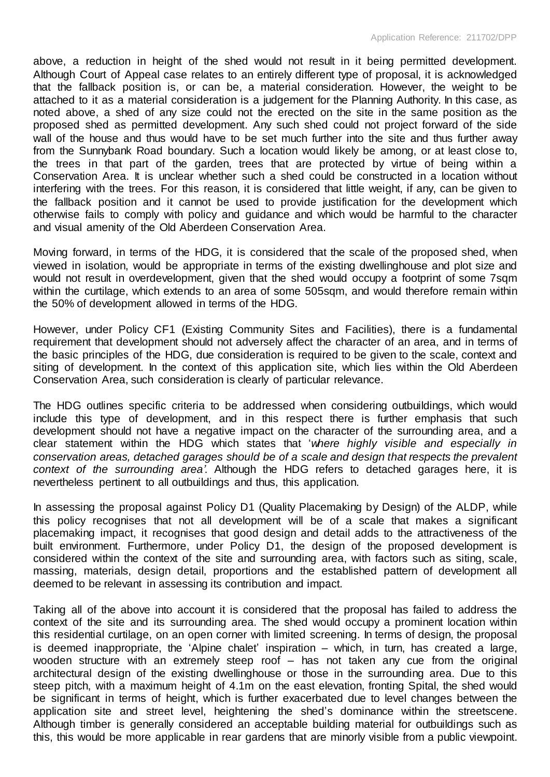above, a reduction in height of the shed would not result in it being permitted development. Although Court of Appeal case relates to an entirely different type of proposal, it is acknowledged that the fallback position is, or can be, a material consideration. However, the weight to be attached to it as a material consideration is a judgement for the Planning Authority. In this case, as noted above, a shed of any size could not the erected on the site in the same position as the proposed shed as permitted development. Any such shed could not project forward of the side wall of the house and thus would have to be set much further into the site and thus further away from the Sunnybank Road boundary. Such a location would likely be among, or at least close to, the trees in that part of the garden, trees that are protected by virtue of being within a Conservation Area. It is unclear whether such a shed could be constructed in a location without interfering with the trees. For this reason, it is considered that little weight, if any, can be given to the fallback position and it cannot be used to provide justification for the development which otherwise fails to comply with policy and guidance and which would be harmful to the character and visual amenity of the Old Aberdeen Conservation Area.

Moving forward, in terms of the HDG, it is considered that the scale of the proposed shed, when viewed in isolation, would be appropriate in terms of the existing dwellinghouse and plot size and would not result in overdevelopment, given that the shed would occupy a footprint of some 7sqm within the curtilage, which extends to an area of some 505sqm, and would therefore remain within the 50% of development allowed in terms of the HDG.

However, under Policy CF1 (Existing Community Sites and Facilities), there is a fundamental requirement that development should not adversely affect the character of an area, and in terms of the basic principles of the HDG, due consideration is required to be given to the scale, context and siting of development. In the context of this application site, which lies within the Old Aberdeen Conservation Area, such consideration is clearly of particular relevance.

The HDG outlines specific criteria to be addressed when considering outbuildings, which would include this type of development, and in this respect there is further emphasis that such development should not have a negative impact on the character of the surrounding area, and a clear statement within the HDG which states that '*where highly visible and especially in conservation areas, detached garages should be of a scale and design that respects the prevalent context of the surrounding area'*. Although the HDG refers to detached garages here, it is nevertheless pertinent to all outbuildings and thus, this application.

In assessing the proposal against Policy D1 (Quality Placemaking by Design) of the ALDP, while this policy recognises that not all development will be of a scale that makes a significant placemaking impact, it recognises that good design and detail adds to the attractiveness of the built environment. Furthermore, under Policy D1, the design of the proposed development is considered within the context of the site and surrounding area, with factors such as siting, scale, massing, materials, design detail, proportions and the established pattern of development all deemed to be relevant in assessing its contribution and impact.

Taking all of the above into account it is considered that the proposal has failed to address the context of the site and its surrounding area. The shed would occupy a prominent location within this residential curtilage, on an open corner with limited screening. In terms of design, the proposal is deemed inappropriate, the 'Alpine chalet' inspiration – which, in turn, has created a large, wooden structure with an extremely steep roof – has not taken any cue from the original architectural design of the existing dwellinghouse or those in the surrounding area. Due to this steep pitch, with a maximum height of 4.1m on the east elevation, fronting Spital, the shed would be significant in terms of height, which is further exacerbated due to level changes between the application site and street level, heightening the shed's dominance within the streetscene. Although timber is generally considered an acceptable building material for outbuildings such as this, this would be more applicable in rear gardens that are minorly visible from a public viewpoint.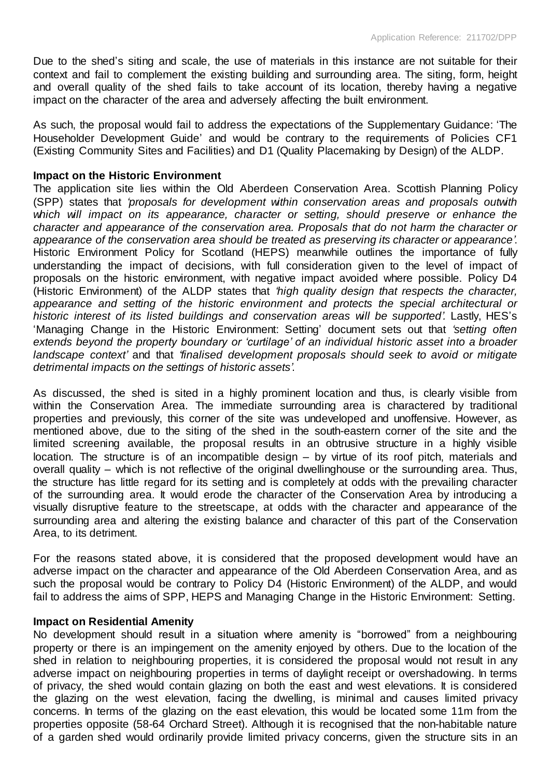Due to the shed's siting and scale, the use of materials in this instance are not suitable for their context and fail to complement the existing building and surrounding area. The siting, form, height and overall quality of the shed fails to take account of its location, thereby having a negative impact on the character of the area and adversely affecting the built environment.

As such, the proposal would fail to address the expectations of the Supplementary Guidance: 'The Householder Development Guide' and would be contrary to the requirements of Policies CF1 (Existing Community Sites and Facilities) and D1 (Quality Placemaking by Design) of the ALDP.

#### **Impact on the Historic Environment**

The application site lies within the Old Aberdeen Conservation Area. Scottish Planning Policy (SPP) states that *'proposals for development within conservation areas and proposals outwith which will impact on its appearance, character or setting, should preserve or enhance the character and appearance of the conservation area. Proposals that do not harm the character or appearance of the conservation area should be treated as preserving its character or appearance'*. Historic Environment Policy for Scotland (HEPS) meanwhile outlines the importance of fully understanding the impact of decisions, with full consideration given to the level of impact of proposals on the historic environment, with negative impact avoided where possible. Policy D4 (Historic Environment) of the ALDP states that *'high quality design that respects the character, appearance and setting of the historic environment and protects the special architectural or historic interest of its listed buildings and conservation areas will be supported'.* Lastly, HES's 'Managing Change in the Historic Environment: Setting' document sets out that *'setting often extends beyond the property boundary or 'curtilage' of an individual historic asset into a broader landscape context'* and that *'finalised development proposals should seek to avoid or mitigate detrimental impacts on the settings of historic assets'*.

As discussed, the shed is sited in a highly prominent location and thus, is clearly visible from within the Conservation Area. The immediate surrounding area is charactered by traditional properties and previously, this corner of the site was undeveloped and unoffensive. However, as mentioned above, due to the siting of the shed in the south-eastern corner of the site and the limited screening available, the proposal results in an obtrusive structure in a highly visible location. The structure is of an incompatible design – by virtue of its roof pitch, materials and overall quality – which is not reflective of the original dwellinghouse or the surrounding area. Thus, the structure has little regard for its setting and is completely at odds with the prevailing character of the surrounding area. It would erode the character of the Conservation Area by introducing a visually disruptive feature to the streetscape, at odds with the character and appearance of the surrounding area and altering the existing balance and character of this part of the Conservation Area, to its detriment.

For the reasons stated above, it is considered that the proposed development would have an adverse impact on the character and appearance of the Old Aberdeen Conservation Area, and as such the proposal would be contrary to Policy D4 (Historic Environment) of the ALDP, and would fail to address the aims of SPP, HEPS and Managing Change in the Historic Environment: Setting.

#### **Impact on Residential Amenity**

No development should result in a situation where amenity is "borrowed" from a neighbouring property or there is an impingement on the amenity enjoyed by others. Due to the location of the shed in relation to neighbouring properties, it is considered the proposal would not result in any adverse impact on neighbouring properties in terms of daylight receipt or overshadowing. In terms of privacy, the shed would contain glazing on both the east and west elevations. It is considered the glazing on the west elevation, facing the dwelling, is minimal and causes limited privacy concerns. In terms of the glazing on the east elevation, this would be located some 11m from the properties opposite (58-64 Orchard Street). Although it is recognised that the non-habitable nature of a garden shed would ordinarily provide limited privacy concerns, given the structure sits in an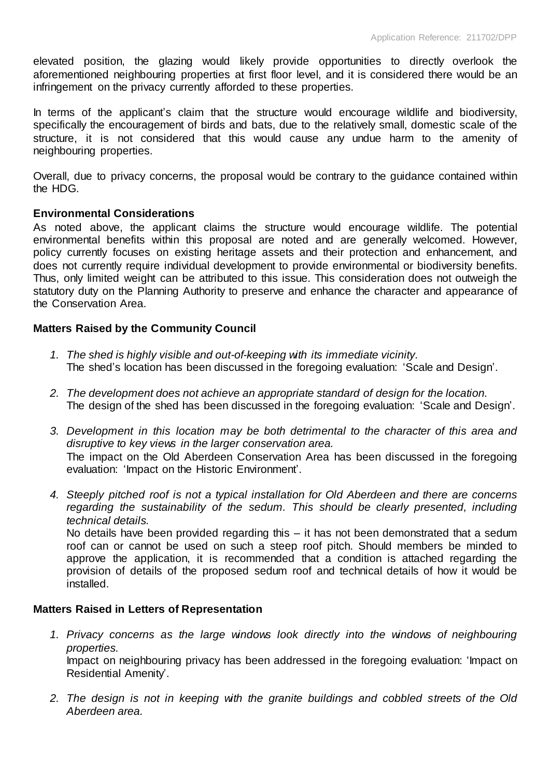elevated position, the glazing would likely provide opportunities to directly overlook the aforementioned neighbouring properties at first floor level, and it is considered there would be an infringement on the privacy currently afforded to these properties.

In terms of the applicant's claim that the structure would encourage wildlife and biodiversity, specifically the encouragement of birds and bats, due to the relatively small, domestic scale of the structure, it is not considered that this would cause any undue harm to the amenity of neighbouring properties.

Overall, due to privacy concerns, the proposal would be contrary to the guidance contained within the HDG.

# **Environmental Considerations**

As noted above, the applicant claims the structure would encourage wildlife. The potential environmental benefits within this proposal are noted and are generally welcomed. However, policy currently focuses on existing heritage assets and their protection and enhancement, and does not currently require individual development to provide environmental or biodiversity benefits. Thus, only limited weight can be attributed to this issue. This consideration does not outweigh the statutory duty on the Planning Authority to preserve and enhance the character and appearance of the Conservation Area.

# **Matters Raised by the Community Council**

- *1. The shed is highly visible and out-of-keeping with its immediate vicinity.*  The shed's location has been discussed in the foregoing evaluation: 'Scale and Design'.
- *2. The development does not achieve an appropriate standard of design for the location.* The design of the shed has been discussed in the foregoing evaluation: 'Scale and Design'.
- *3. Development in this location may be both detrimental to the character of this area and disruptive to key views in the larger conservation area.* The impact on the Old Aberdeen Conservation Area has been discussed in the foregoing evaluation: 'Impact on the Historic Environment'.
- *4. Steeply pitched roof is not a typical installation for Old Aberdeen and there are concerns regarding the sustainability of the sedum. This should be clearly presented, including technical details.*

No details have been provided regarding this – it has not been demonstrated that a sedum roof can or cannot be used on such a steep roof pitch. Should members be minded to approve the application, it is recommended that a condition is attached regarding the provision of details of the proposed sedum roof and technical details of how it would be installed.

#### **Matters Raised in Letters of Representation**

- *1. Privacy concerns as the large windows look directly into the windows of neighbouring properties.* Impact on neighbouring privacy has been addressed in the foregoing evaluation: 'Impact on Residential Amenity'.
- *2. The design is not in keeping with the granite buildings and cobbled streets of the Old Aberdeen area.*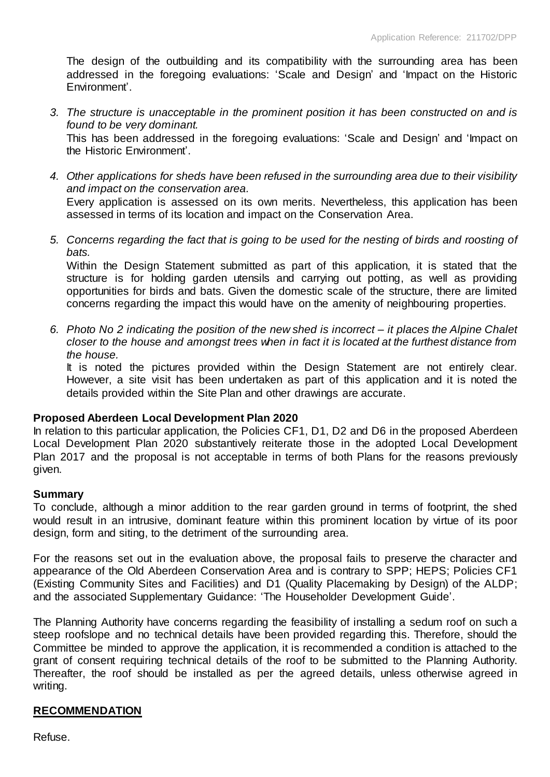The design of the outbuilding and its compatibility with the surrounding area has been addressed in the foregoing evaluations: 'Scale and Design' and 'Impact on the Historic Environment'.

*3. The structure is unacceptable in the prominent position it has been constructed on and is found to be very dominant.*  This has been addressed in the foregoing evaluations: 'Scale and Design' and 'Impact on

the Historic Environment'.

- *4. Other applications for sheds have been refused in the surrounding area due to their visibility and impact on the conservation area.* Every application is assessed on its own merits. Nevertheless, this application has been assessed in terms of its location and impact on the Conservation Area.
- *5. Concerns regarding the fact that is going to be used for the nesting of birds and roosting of bats.*

Within the Design Statement submitted as part of this application, it is stated that the structure is for holding garden utensils and carrying out potting, as well as providing opportunities for birds and bats. Given the domestic scale of the structure, there are limited concerns regarding the impact this would have on the amenity of neighbouring properties.

*6. Photo No 2 indicating the position of the new shed is incorrect – it places the Alpine Chalet closer to the house and amongst trees when in fact it is located at the furthest distance from the house.* 

It is noted the pictures provided within the Design Statement are not entirely clear. However, a site visit has been undertaken as part of this application and it is noted the details provided within the Site Plan and other drawings are accurate.

#### **Proposed Aberdeen Local Development Plan 2020**

In relation to this particular application, the Policies CF1, D1, D2 and D6 in the proposed Aberdeen Local Development Plan 2020 substantively reiterate those in the adopted Local Development Plan 2017 and the proposal is not acceptable in terms of both Plans for the reasons previously given.

#### **Summary**

To conclude, although a minor addition to the rear garden ground in terms of footprint, the shed would result in an intrusive, dominant feature within this prominent location by virtue of its poor design, form and siting, to the detriment of the surrounding area.

For the reasons set out in the evaluation above, the proposal fails to preserve the character and appearance of the Old Aberdeen Conservation Area and is contrary to SPP; HEPS; Policies CF1 (Existing Community Sites and Facilities) and D1 (Quality Placemaking by Design) of the ALDP; and the associated Supplementary Guidance: 'The Householder Development Guide'.

The Planning Authority have concerns regarding the feasibility of installing a sedum roof on such a steep roofslope and no technical details have been provided regarding this. Therefore, should the Committee be minded to approve the application, it is recommended a condition is attached to the grant of consent requiring technical details of the roof to be submitted to the Planning Authority. Thereafter, the roof should be installed as per the agreed details, unless otherwise agreed in writing.

#### **RECOMMENDATION**

Refuse.